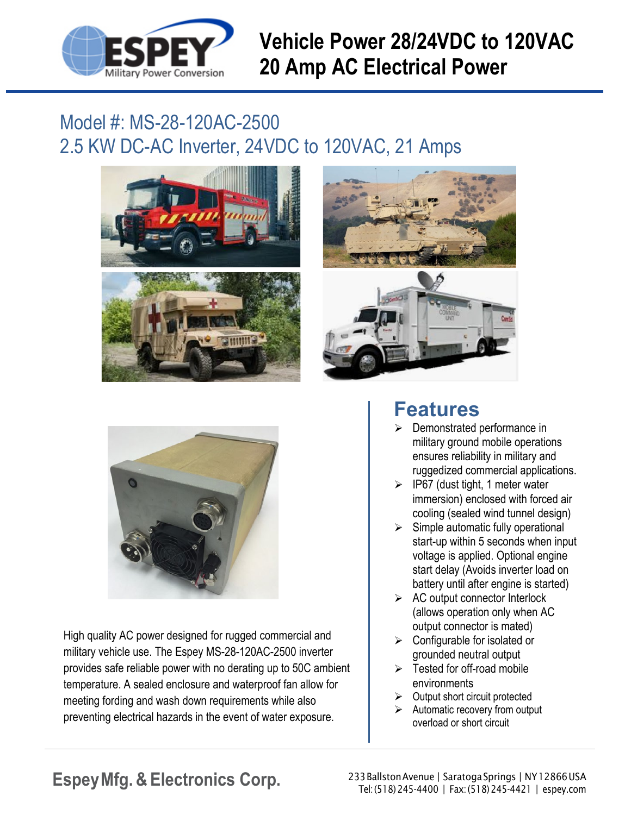

## **Vehicle Power 28/24VDC to 120VAC 20 Amp AC Electrical Power**

## Model #: MS-28-120AC-2500 2.5 KW DC-AC Inverter, 24VDC to 120VAC, 21 Amps







High quality AC power designed for rugged commercial and military vehicle use. The Espey MS-28-120AC-2500 inverter provides safe reliable power with no derating up to 50C ambient temperature. A sealed enclosure and waterproof fan allow for meeting fording and wash down requirements while also preventing electrical hazards in the event of water exposure.

## **Features**

- $\triangleright$  Demonstrated performance in military ground mobile operations ensures reliability in military and ruggedized commercial applications.
- $\triangleright$  IP67 (dust tight, 1 meter water immersion) enclosed with forced air cooling (sealed wind tunnel design)
- $\triangleright$  Simple automatic fully operational start-up within 5 seconds when input voltage is applied. Optional engine start delay (Avoids inverter load on battery until after engine is started)
- $\triangleright$  AC output connector Interlock (allows operation only when AC output connector is mated)
- $\triangleright$  Configurable for isolated or grounded neutral output
- $\triangleright$  Tested for off-road mobile environments
- $\triangleright$  Output short circuit protected
- $\triangleright$  Automatic recovery from output overload or short circuit

Espey Mfg. & Electronics Corp. 233BallstonAvenue | SaratogaSprings | NY12866USA Tel:(518)245-4400 | Fax:(518)245-4421 | [espey.com](http://www.espey.com/)